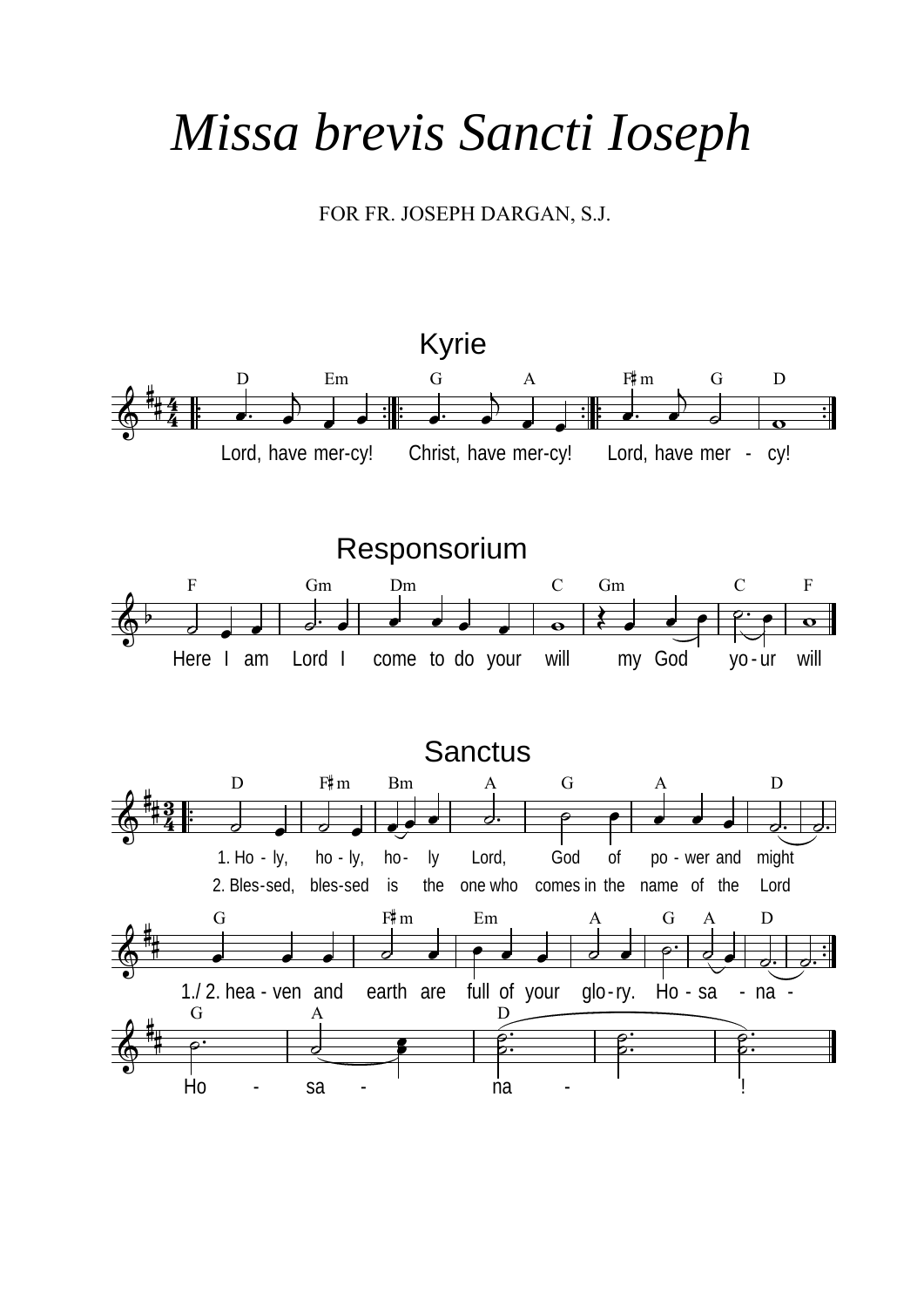## *Missa brevis Sancti Ioseph*

FOR FR. JOSEPH DARGAN, S.J.